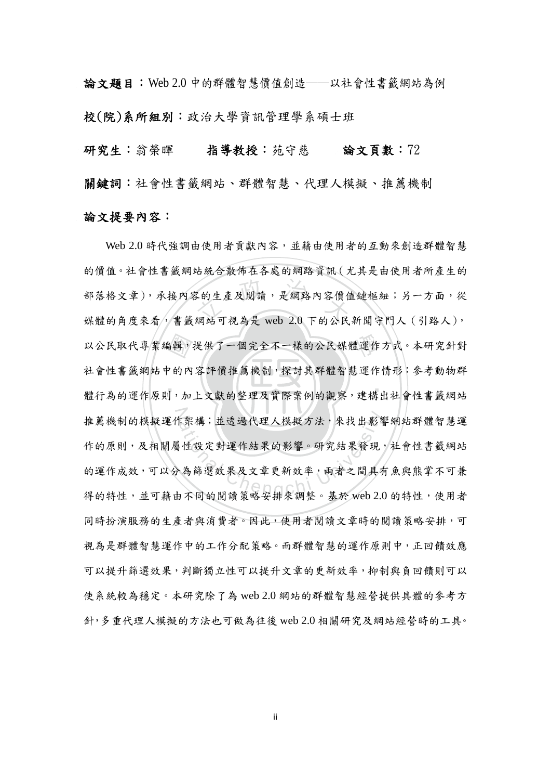論文題目:Web 2.0 中的群體智慧價值創造──以社會性書籤網站為例 校(院)系所組別:政治大學資訊管理學系碩士班

研究生:翁榮暉 指導教授:苑守慈 論文頁數:72

關鍵詞:社會性書籤網站、群體智慧、代理人模擬、推薦機制

## 論文提要內容:

‧‧ 。輯,提供了一個完全不一樣的公民媒體運作<br><br>?的內容評價推薦機制,探討其群體智慧運作<br>!,加上文獻的整理及實際案例的觀察,建構 。<br><br>《 文 在 及 閲 讀 , 是 網 路 內 容 價 值<br>網 站 可 視 為 是 web 2.0 下 的 公 民 推薦機制的模擬運作架構;並透過代理人模擬方法,來找出影響網站群體智慧運 年架構;並透過代理人模擬方法,來找出影響<br>相談定對運作結果的影響。研究結果發現<br>為篩選效果及文章更新效率,兩者之間具有 Web 2.0 時代強調由使用者貢獻內容,並藉由使用者的互動來創造群體智慧 的價值。社會性書籤網站統合散佈在各處的網路資訊(尤其是由使用者所產生的 部落格文章),承接內容的生產及閱讀,是網路內容價值鏈樞紐;另一方面,從 媒體的角度來看,書籤網站可視為是 web 2.0 下的公民新聞守門人 (引路人), 以公民取代專業編輯,提供了一個完全不一樣的公民媒體運作方式。本研究針對 社會性書籤網站中的內容評價推薦機制,探討其群體智慧運作情形:參考動物群 體行為的運作原則,加上文獻的整理及實際案例的觀察,建構出社會性書籤網站 作的原則,及相關屬性設定對運作結果的影響。研究結果發現,社會性書籤網站 的運作成效,可以分為篩選效果及文章更新效率,兩者之間具有魚與熊掌不可兼 得的特性,並可藉由不同的閱讀策略安排來調整。基於 web 2.0 的特性,使用者 同時扮演服務的生產者與消費者。因此,使用者閱讀文章時的閱讀策略安排,可 視為是群體智慧運作中的工作分配策略。而群體智慧的運作原則中,正回饋效應 可以提升篩選效果,判斷獨立性可以提升文章的更新效率,抑制與負回饋則可以 使系統較為穩定。本研究除了為 web 2.0 網站的群體智慧經營提供具體的參考方 針,多重代理人模擬的方法也可做為往後 web 2.0 相關研究及網站經營時的工具。